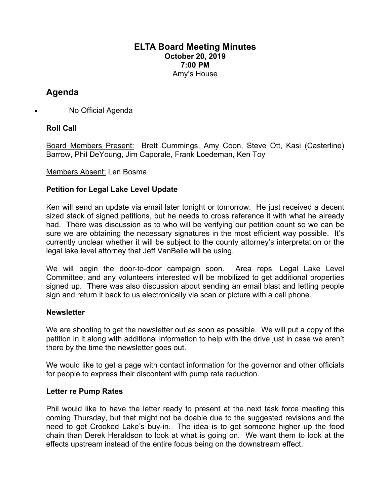#### **ELTA Board Meeting Minutes October 20, 2019 7:00 PM** Amy's House

# **Agenda**

• No Official Agenda

# **Roll Call**

Board Members Present: Brett Cummings, Amy Coon, Steve Ott, Kasi (Casterline) Barrow, Phil DeYoung, Jim Caporale, Frank Loedeman, Ken Toy

#### Members Absent: Len Bosma

#### **Petition for Legal Lake Level Update**

Ken will send an update via email later tonight or tomorrow. He just received a decent sized stack of signed petitions, but he needs to cross reference it with what he already had. There was discussion as to who will be verifying our petition count so we can be sure we are obtaining the necessary signatures in the most efficient way possible. It's currently unclear whether it will be subject to the county attorney's interpretation or the legal lake level attorney that Jeff VanBelle will be using.

We will begin the door-to-door campaign soon. Area reps, Legal Lake Level Committee, and any volunteers interested will be mobilized to get additional properties signed up. There was also discussion about sending an email blast and letting people sign and return it back to us electronically via scan or picture with a cell phone.

#### **Newsletter**

We are shooting to get the newsletter out as soon as possible. We will put a copy of the petition in it along with additional information to help with the drive just in case we aren't there by the time the newsletter goes out.

We would like to get a page with contact information for the governor and other officials for people to express their discontent with pump rate reduction.

#### **Letter re Pump Rates**

Phil would like to have the letter ready to present at the next task force meeting this coming Thursday, but that might not be doable due to the suggested revisions and the need to get Crooked Lake's buy-in. The idea is to get someone higher up the food chain than Derek Heraldson to look at what is going on. We want them to look at the effects upstream instead of the entire focus being on the downstream effect.